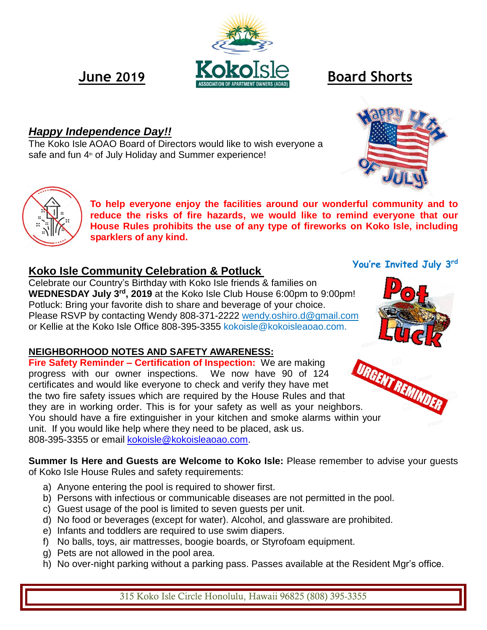# *Happy Independence Day!!*

The Koko Isle AOAO Board of Directors would like to wish everyone a safe and fun 4<sup>th</sup> of July Holiday and Summer experience!

> **To help everyone enjoy the facilities around our wonderful community and to reduce the risks of fire hazards, we would like to remind everyone that our House Rules prohibits the use of any type of fireworks on Koko Isle, including sparklers of any kind.**

# **Koko Isle Community Celebration & Potluck**

Celebrate our Country's Birthday with Koko Isle friends & families on **WEDNESDAY July 3rd , 2019** at the Koko Isle Club House 6:00pm to 9:00pm! Potluck: Bring your favorite dish to share and beverage of your choice. Please RSVP by contacting Wendy 808-371-2222 [wendy.oshiro.d@gmail.com](mailto:wendy.oshiro.d@gmail.com) or Kellie at the Koko Isle Office 808-395-3355 kokoisle@kokoisleaoao.com.

# **NEIGHBORHOOD NOTES AND SAFETY AWARENESS:**

**Fire Safety Reminder – Certification of Inspection:** We are making progress with our owner inspections. We now have 90 of 124 certificates and would like everyone to check and verify they have met the two fire safety issues which are required by the House Rules and that Fire Safety Remmus.<br>
progress with our owner inspections. We now the Wave met<br>
the two fire safety issues which are required by the House Rules and that<br>
they are in working order. This is for your safety as well as your n You should have a fire extinguisher in your kitchen and smoke alarms within your unit. If you would like help where they need to be placed, ask us. 808-395-3355 or email [kokoisle@kokoisleaoao.com.](mailto:kokoisle@kokoisleaoao.com)

**Summer Is Here and Guests are Welcome to Koko Isle:** Please remember to advise your guests of Koko Isle House Rules and safety requirements:

- a) Anyone entering the pool is required to shower first.
- b) Persons with infectious or communicable diseases are not permitted in the pool.
- c) Guest usage of the pool is limited to seven guests per unit.
- d) No food or beverages (except for water). Alcohol, and glassware are prohibited.
- e) Infants and toddlers are required to use swim diapers.
- f) No balls, toys, air mattresses, boogie boards, or Styrofoam equipment.
- g) Pets are not allowed in the pool area.
- h) No over-night parking without a parking pass. Passes available at the Resident Mgr's office.





**You're Invited July 3 rd**



315 Koko Isle Circle Honolulu, Hawaii 96825 (808) 395-3355